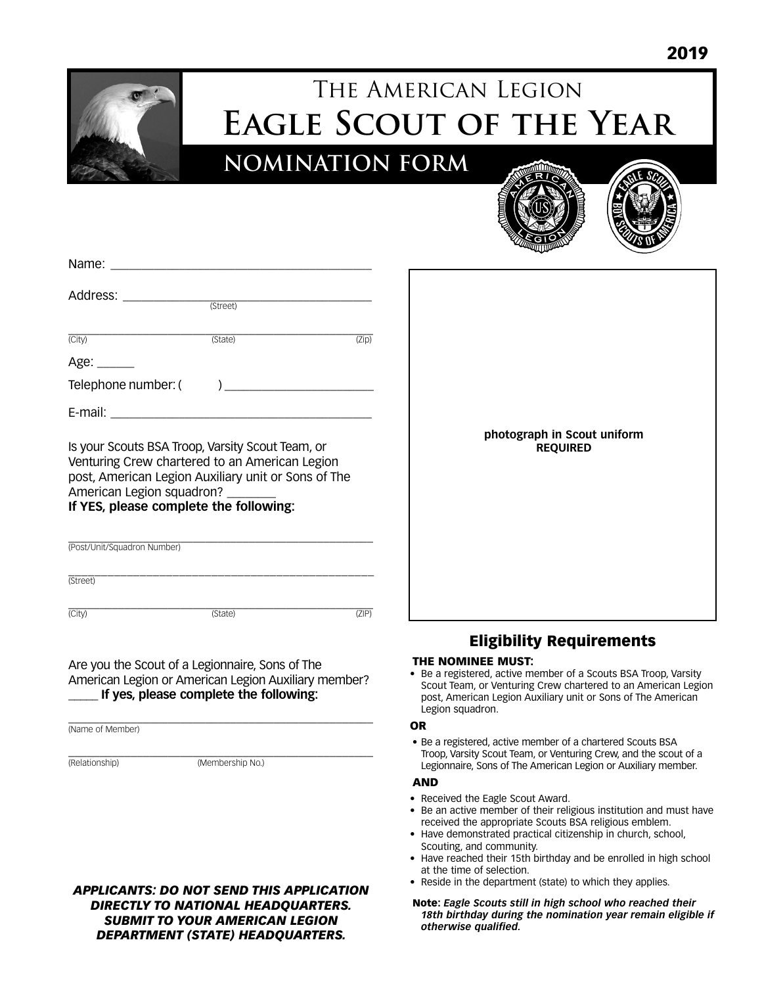

# The American Legion **Eagle Scout of the Year**

**NOMINATION FORM**





| Address: _______________                                           |                                                     |       |
|--------------------------------------------------------------------|-----------------------------------------------------|-------|
|                                                                    | (Street)                                            |       |
| (City)                                                             | (State)                                             | (Zip) |
| Age: ______                                                        |                                                     |       |
| Telephone number: (                                                | ) and the contract of the contract of $\mathcal{L}$ |       |
| E-mail:<br><u> 1980 - Jan Barat, martin din santa di Barat, ma</u> |                                                     |       |

Is your Scouts BSA Troop, Varsity Scout Team, or Venturing Crew chartered to an American Legion post, American Legion Auxiliary unit or Sons of The American Legion squadron?

**If YES, please complete the following:**

| (Post/Unit/Squadron Number) |         |     |
|-----------------------------|---------|-----|
| (Street)                    |         |     |
| (City                       | (State) | ΖIΡ |

#### Are you the Scout of a Legionnaire, Sons of The American Legion or American Legion Auxiliary member? \_\_\_\_\_ **If yes, please complete the following:**

\_\_\_\_\_\_\_\_\_\_\_\_\_\_\_\_\_\_\_\_\_\_\_\_\_\_\_\_\_\_\_\_\_\_\_\_\_\_\_\_\_\_\_\_\_\_\_\_\_ (Name of Member)

\_\_\_\_\_\_\_\_\_\_\_\_\_\_\_\_\_\_\_\_\_\_\_\_\_\_\_\_\_\_\_\_\_\_\_\_\_\_\_\_\_\_\_\_\_\_\_\_\_

(Relationship) (Membership No.)



| photograph in Scout uniform<br><b>REQUIRED</b> |
|------------------------------------------------|
|------------------------------------------------|

## Eligibility Requirements

#### THE NOMINEE MUST:

• Be a registered, active member of a Scouts BSA Troop, Varsity Scout Team, or Venturing Crew chartered to an American Legion post, American Legion Auxiliary unit or Sons of The American Legion squadron.

#### OR

• Be a registered, active member of a chartered Scouts BSA Troop, Varsity Scout Team, or Venturing Crew, and the scout of a Legionnaire, Sons of The American Legion or Auxiliary member.

#### AND

- Received the Eagle Scout Award.
- Be an active member of their religious institution and must have received the appropriate Scouts BSA religious emblem.
- Have demonstrated practical citizenship in church, school, Scouting, and community.
- Have reached their 15th birthday and be enrolled in high school at the time of selection.
- Reside in the department (state) to which they applies.
- Note: *Eagle Scouts still in high school who reached their 18th birthday during the nomination year remain eligible if otherwise qualified.*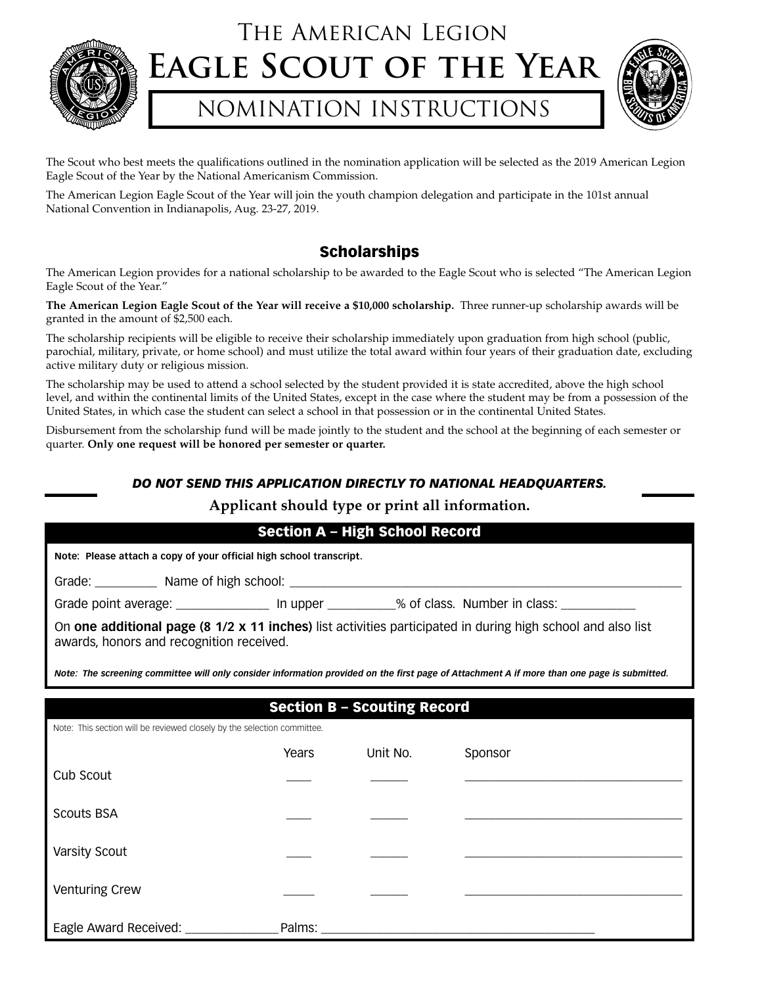

## The American Legion **Eagle Scout of the Year**

## NOMINATION INSTRUCTIONS



The Scout who best meets the qualifications outlined in the nomination application will be selected as the 2019 American Legion Eagle Scout of the Year by the National Americanism Commission.

The American Legion Eagle Scout of the Year will join the youth champion delegation and participate in the 101st annual National Convention in Indianapolis, Aug. 23-27, 2019.

## Scholarships

The American Legion provides for a national scholarship to be awarded to the Eagle Scout who is selected "The American Legion Eagle Scout of the Year."

**The American Legion Eagle Scout of the Year will receive a \$10,000 scholarship.** Three runner-up scholarship awards will be granted in the amount of \$2,500 each.

The scholarship recipients will be eligible to receive their scholarship immediately upon graduation from high school (public, parochial, military, private, or home school) and must utilize the total award within four years of their graduation date, excluding active military duty or religious mission.

The scholarship may be used to attend a school selected by the student provided it is state accredited, above the high school level, and within the continental limits of the United States, except in the case where the student may be from a possession of the United States, in which case the student can select a school in that possession or in the continental United States.

Disbursement from the scholarship fund will be made jointly to the student and the school at the beginning of each semester or quarter. **Only one request will be honored per semester or quarter.**

### *DO NOT SEND THIS APPLICATION DIRECTLY TO NATIONAL HEADQUARTERS.*

### **Applicant should type or print all information.**

|                                                                         |        | <b>Section A - High School Record</b> |                                                                                                                                             |  |  |
|-------------------------------------------------------------------------|--------|---------------------------------------|---------------------------------------------------------------------------------------------------------------------------------------------|--|--|
| Note: Please attach a copy of your official high school transcript.     |        |                                       |                                                                                                                                             |  |  |
|                                                                         |        |                                       |                                                                                                                                             |  |  |
|                                                                         |        |                                       | Grade point average: _________________ In upper __________% of class. Number in class: ____________                                         |  |  |
| awards, honors and recognition received.                                |        |                                       | On one additional page (8 1/2 x 11 inches) list activities participated in during high school and also list                                 |  |  |
|                                                                         |        |                                       | Note: The screening committee will only consider information provided on the first page of Attachment A if more than one page is submitted. |  |  |
|                                                                         |        | <b>Section B - Scouting Record</b>    |                                                                                                                                             |  |  |
| Note: This section will be reviewed closely by the selection committee. |        |                                       |                                                                                                                                             |  |  |
|                                                                         | Years  | Unit No.                              | Sponsor                                                                                                                                     |  |  |
| Cub Scout                                                               |        |                                       |                                                                                                                                             |  |  |
| <b>Scouts BSA</b>                                                       |        |                                       |                                                                                                                                             |  |  |
| <b>Varsity Scout</b>                                                    |        |                                       |                                                                                                                                             |  |  |
| <b>Venturing Crew</b>                                                   |        |                                       |                                                                                                                                             |  |  |
| Eagle Award Received: ________                                          | Palms: |                                       |                                                                                                                                             |  |  |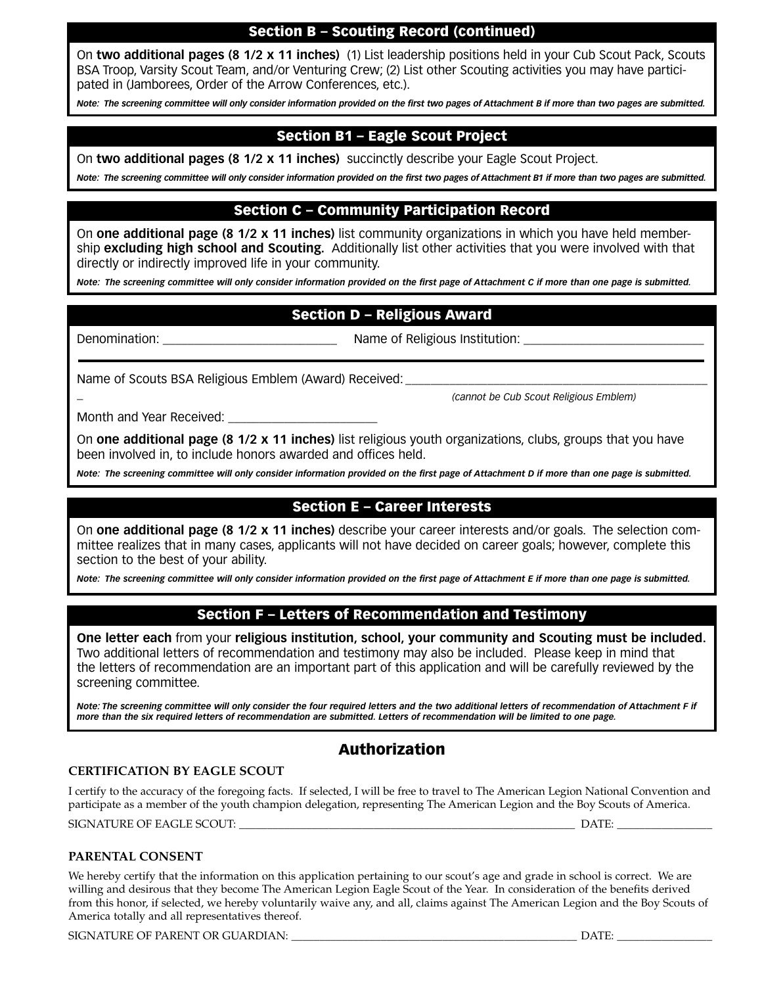## Section B – Scouting Record (continued)

On **two additional pages (8 1/2 x 11 inches)** (1) List leadership positions held in your Cub Scout Pack, Scouts BSA Troop, Varsity Scout Team, and/or Venturing Crew; (2) List other Scouting activities you may have participated in (Jamborees, Order of the Arrow Conferences, etc.).

*Note: The screening committee will only consider information provided on the first two pages of Attachment B if more than two pages are submitted.*

## Section B1 – Eagle Scout Project

On **two additional pages (8 1/2 x 11 inches)** succinctly describe your Eagle Scout Project.

*Note: The screening committee will only consider information provided on the first two pages of Attachment B1 if more than two pages are submitted.*

### Section C – Community Participation Record

On **one additional page (8 1/2 x 11 inches)** list community organizations in which you have held membership **excluding high school and Scouting.** Additionally list other activities that you were involved with that directly or indirectly improved life in your community.

*Note: The screening committee will only consider information provided on the first page of Attachment C if more than one page is submitted.*

## Section D – Religious Award

\_

Denomination: \_\_\_\_\_\_\_\_\_\_\_\_\_\_\_\_\_\_\_\_\_\_\_\_\_\_\_\_ Name of Religious Institution: \_\_\_\_\_\_\_\_\_\_\_\_\_\_\_\_\_\_\_\_\_\_\_\_\_\_\_\_\_

Name of Scouts BSA Religious Emblem (Award) Received:

*(cannot be Cub Scout Religious Emblem)*

Month and Year Received:

On **one additional page (8 1/2 x 11 inches)** list religious youth organizations, clubs, groups that you have been involved in, to include honors awarded and offices held.

*Note: The screening committee will only consider information provided on the first page of Attachment D if more than one page is submitted.*

### Section E – Career Interests

On **one additional page (8 1/2 x 11 inches)** describe your career interests and/or goals. The selection committee realizes that in many cases, applicants will not have decided on career goals; however, complete this section to the best of your ability.

*Note: The screening committee will only consider information provided on the first page of Attachment E if more than one page is submitted.*

### Section F – Letters of Recommendation and Testimony

**One letter each** from your **religious institution, school, your community and Scouting must be included.** Two additional letters of recommendation and testimony may also be included. Please keep in mind that the letters of recommendation are an important part of this application and will be carefully reviewed by the screening committee.

*Note: The screening committee will only consider the four required letters and the two additional letters of recommendation of Attachment F if more than the six required letters of recommendation are submitted. Letters of recommendation will be limited to one page.*

## Authorization

#### **CERTIFICATION BY EAGLE SCOUT**

I certify to the accuracy of the foregoing facts. If selected, I will be free to travel to The American Legion National Convention and participate as a member of the youth champion delegation, representing The American Legion and the Boy Scouts of America. SIGNATURE OF EAGLE SCOUT: \_\_\_\_\_\_\_\_\_\_\_\_\_\_\_\_\_\_\_\_\_\_\_\_\_\_\_\_\_\_\_\_\_\_\_\_\_\_\_\_\_\_\_\_\_\_\_\_\_\_\_\_\_\_\_\_\_\_\_\_ DATE: \_\_\_\_\_\_\_\_\_\_\_\_\_\_\_\_\_

#### **PARENTAL CONSENT**

We hereby certify that the information on this application pertaining to our scout's age and grade in school is correct. We are willing and desirous that they become The American Legion Eagle Scout of the Year. In consideration of the benefits derived from this honor, if selected, we hereby voluntarily waive any, and all, claims against The American Legion and the Boy Scouts of America totally and all representatives thereof.

SIGNATURE OF PARENT OR GUARDIAN: \_\_\_\_\_\_\_\_\_\_\_\_\_\_\_\_\_\_\_\_\_\_\_\_\_\_\_\_\_\_\_\_\_\_\_\_\_\_\_\_\_\_\_\_\_\_\_\_\_\_\_ DATE: \_\_\_\_\_\_\_\_\_\_\_\_\_\_\_\_\_